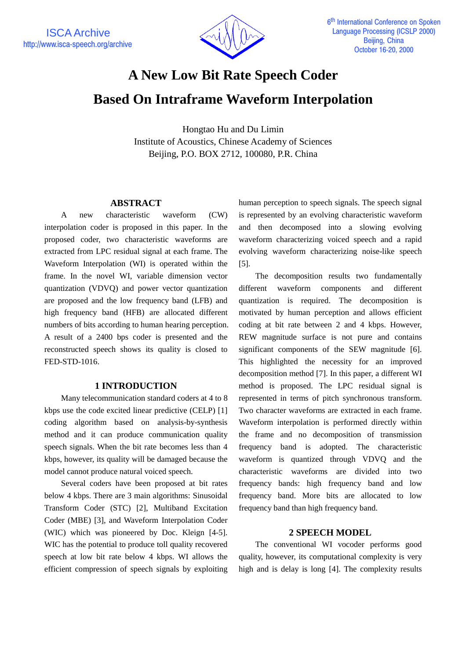

# **A New Low Bit Rate Speech Coder Based On Intraframe Waveform Interpolation**

Hongtao Hu and Du Limin Institute of Acoustics, Chinese Academy of Sciences Beijing, P.O. BOX 2712, 100080, P.R. China

#### **ABSTRACT**

A new characteristic waveform (CW) interpolation coder is proposed in this paper. In the proposed coder, two characteristic waveforms are extracted from LPC residual signal at each frame. The Waveform Interpolation (WI) is operated within the frame. In the novel WI, variable dimension vector quantization (VDVQ) and power vector quantization are proposed and the low frequency band (LFB) and high frequency band (HFB) are allocated different numbers of bits according to human hearing perception. A result of a 2400 bps coder is presented and the reconstructed speech shows its quality is closed to FED-STD-1016.

### **1 INTRODUCTION**

Many telecommunication standard coders at 4 to 8 kbps use the code excited linear predictive (CELP) [1] coding algorithm based on analysis-by-synthesis method and it can produce communication quality speech signals. When the bit rate becomes less than 4 kbps, however, its quality will be damaged because the model cannot produce natural voiced speech.

Several coders have been proposed at bit rates below 4 kbps. There are 3 main algorithms: Sinusoidal Transform Coder (STC) [2], Multiband Excitation Coder (MBE) [3], and Waveform Interpolation Coder (WIC) which was pioneered by Doc. Kleign [4-5]. WIC has the potential to produce toll quality recovered speech at low bit rate below 4 kbps. WI allows the efficient compression of speech signals by exploiting human perception to speech signals. The speech signal is represented by an evolving characteristic waveform and then decomposed into a slowing evolving waveform characterizing voiced speech and a rapid evolving waveform characterizing noise-like speech [5].

The decomposition results two fundamentally different waveform components and different quantization is required. The decomposition is motivated by human perception and allows efficient coding at bit rate between 2 and 4 kbps. However, REW magnitude surface is not pure and contains significant components of the SEW magnitude [6]. This highlighted the necessity for an improved decomposition method [7]. In this paper, a different WI method is proposed. The LPC residual signal is represented in terms of pitch synchronous transform. Two character waveforms are extracted in each frame. Waveform interpolation is performed directly within the frame and no decomposition of transmission frequency band is adopted. The characteristic waveform is quantized through VDVQ and the characteristic waveforms are divided into two frequency bands: high frequency band and low frequency band. More bits are allocated to low frequency band than high frequency band.

### **2 SPEECH MODEL**

The conventional WI vocoder performs good quality, however, its computational complexity is very high and is delay is long [4]. The complexity results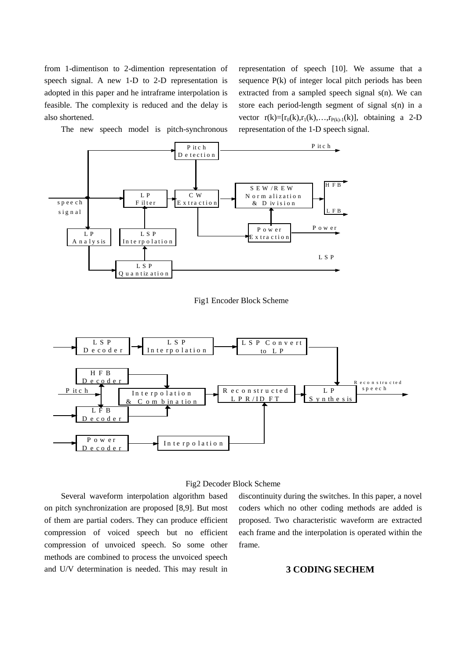from 1-dimentison to 2-dimention representation of speech signal. A new 1-D to 2-D representation is adopted in this paper and he intraframe interpolation is feasible. The complexity is reduced and the delay is also shortened.

The new speech model is pitch-synchronous

representation of speech [10]. We assume that a sequence P(k) of integer local pitch periods has been extracted from a sampled speech signal s(n). We can store each period-length segment of signal s(n) in a vector  $r(k)=[r_0(k),r_1(k),...,r_{P(k)-1}(k)]$ , obtaining a 2-D representation of the 1-D speech signal.



Fig1 Encoder Block Scheme



#### Fig2 Decoder Block Scheme

Several waveform interpolation algorithm based on pitch synchronization are proposed [8,9]. But most of them are partial coders. They can produce efficient compression of voiced speech but no efficient compression of unvoiced speech. So some other methods are combined to process the unvoiced speech and U/V determination is needed. This may result in

discontinuity during the switches. In this paper, a novel coders which no other coding methods are added is proposed. Two characteristic waveform are extracted each frame and the interpolation is operated within the frame.

## **3 CODING SECHEM**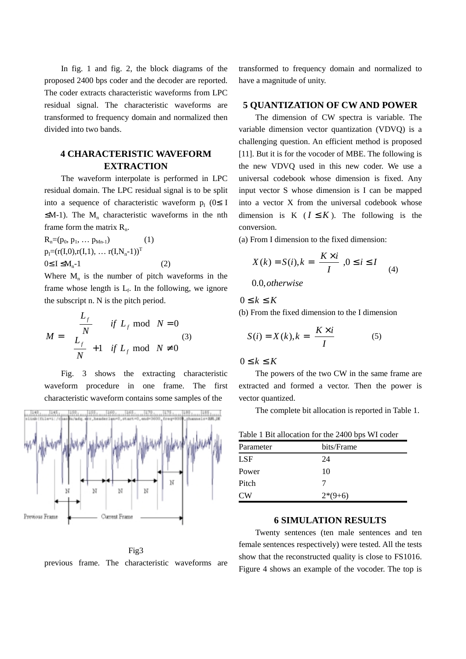In fig. 1 and fig. 2, the block diagrams of the proposed 2400 bps coder and the decoder are reported. The coder extracts characteristic waveforms from LPC residual signal. The characteristic waveforms are transformed to frequency domain and normalized then divided into two bands.

# **4 CHARACTERISTIC WAVEFORM EXTRACTION**

The waveform interpolate is performed in LPC residual domain. The LPC residual signal is to be split into a sequence of characteristic waveform  $p_I$  (0≤ I  $\leq M-1$ ). The M<sub>n</sub> characteristic waveforms in the nth frame form the matrix  $R_n$ .

 $R_n=(p_0, p_1, \ldots p_{Mn-1})$  (1)  $p_I = (r(I,0), r(I,1), \ldots r(I,N_n-1))^T$  $0 \le I \le M_n - 1$  (2)

Where  $M_n$  is the number of pitch waveforms in the frame whose length is  $L_f$ . In the following, we ignore the subscript n. N is the pitch period.

$$
M = \begin{cases} \frac{L_f}{N} & \text{if } L_f \text{ mod } N = 0\\ \frac{L_f}{N} + 1 & \text{if } L_f \text{ mod } N \neq 0 \end{cases}
$$
 (3)

Fig. 3 shows the extracting characteristic waveform procedure in one frame. The first characteristic waveform contains some samples of the



Fig3

previous frame. The characteristic waveforms are

transformed to frequency domain and normalized to have a magnitude of unity.

# **5 QUANTIZATION OF CW AND POWER**

The dimension of CW spectra is variable. The variable dimension vector quantization (VDVQ) is a challenging question. An efficient method is proposed [11]. But it is for the vocoder of MBE. The following is the new VDVQ used in this new coder. We use a universal codebook whose dimension is fixed. Any input vector S whose dimension is I can be mapped into a vector X from the universal codebook whose dimension is K ( $I \leq K$ ). The following is the conversion.

(a) From I dimension to the fixed dimension:

$$
\begin{cases} X(k) = S(i), k = \left\lceil \frac{K \times i}{I} \right\rceil, 0 \le i \le I \\ 0.0, otherwise \end{cases}
$$
 (4)

 $0 \leq k \leq K$ (b) From the fixed dimension to the I dimension

$$
S(i) = X(k), k = \left\lceil \frac{K \times i}{I} \right\rceil \tag{5}
$$

 $0 \leq k \leq K$ 

The powers of the two CW in the same frame are extracted and formed a vector. Then the power is vector quantized.

The complete bit allocation is reported in Table 1.

| Table 1 Bit allocation for the 2400 bps WI coder |            |
|--------------------------------------------------|------------|
| Parameter                                        | bits/Frame |
| LSF                                              | 24         |
| Power                                            | 10         |
| Pitch                                            |            |
| CW <sub></sub>                                   | $2*(9+6)$  |

## **6 SIMULATION RESULTS**

Twenty sentences (ten male sentences and ten female sentences respectively) were tested. All the tests show that the reconstructed quality is close to FS1016. Figure 4 shows an example of the vocoder. The top is